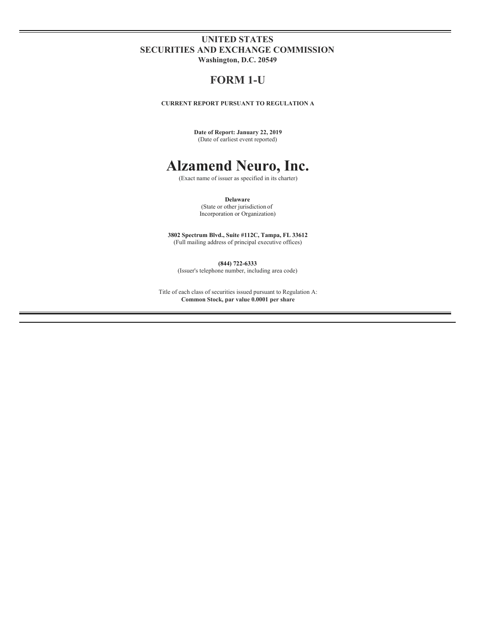## **UNITED STATES SECURITIES AND EXCHANGE COMMISSION Washington, D.C. 20549**

# **FORM 1-U**

**CURRENT REPORT PURSUANT TO REGULATION A**

**Date of Report: January 22, 2019** (Date of earliest event reported)

# **Alzamend Neuro, Inc.**

(Exact name of issuer as specified in its charter)

**Delaware** (State or other jurisdiction of Incorporation or Organization)

**3802 Spectrum Blvd., Suite #112C, Tampa, FL 33612** (Full mailing address of principal executive offices)

**(844) 722-6333** (Issuer's telephone number, including area code)

Title of each class of securities issued pursuant to Regulation A: **Common Stock, par value 0.0001 per share**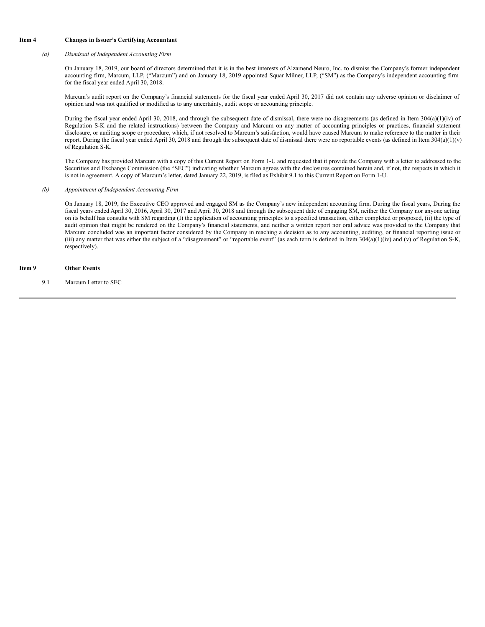#### **Item 4 Changes in Issuer's Certifying Accountant**

#### *(a) Dismissal of Independent Accounting Firm*

On January 18, 2019, our board of directors determined that it is in the best interests of Alzamend Neuro, Inc. to dismiss the Company's former independent accounting firm, Marcum, LLP, ("Marcum") and on January 18, 2019 appointed Squar Milner, LLP, ("SM") as the Company's independent accounting firm for the fiscal year ended April 30, 2018.

Marcum's audit report on the Company's financial statements for the fiscal year ended April 30, 2017 did not contain any adverse opinion or disclaimer of opinion and was not qualified or modified as to any uncertainty, audit scope or accounting principle.

During the fiscal year ended April 30, 2018, and through the subsequent date of dismissal, there were no disagreements (as defined in Item 304(a)(1)(iv) of Regulation S-K and the related instructions) between the Company and Marcum on any matter of accounting principles or practices, financial statement disclosure, or auditing scope or procedure, which, if not resolved to Marcum's satisfaction, would have caused Marcum to make reference to the matter in their report. During the fiscal year ended April 30, 2018 and through the subsequent date of dismissal there were no reportable events (as defined in Item  $304(a)(1)(v)$ of Regulation S-K.

The Company has provided Marcum with a copy of this Current Report on Form 1-U and requested that it provide the Company with a letter to addressed to the Securities and Exchange Commission (the "SEC") indicating whether Marcum agrees with the disclosures contained herein and, if not, the respects in which it is not in agreement. A copy of Marcum's letter, dated January 22, 2019, is filed as Exhibit 9.1 to this Current Report on Form 1-U.

#### *(b) Appointment of Independent Accounting Firm*

On January 18, 2019, the Executive CEO approved and engaged SM as the Company's new independent accounting firm. During the fiscal years, During the fiscal years ended April 30, 2016, April 30, 2017 and April 30, 2018 and through the subsequent date of engaging SM, neither the Company nor anyone acting on its behalf has consults with SM regarding (I) the application of accounting principles to a specified transaction, either completed or proposed, (ii) the type of audit opinion that might be rendered on the Company's financial statements, and neither a written report nor oral advice was provided to the Company that Marcum concluded was an important factor considered by the Company in reaching a decision as to any accounting, auditing, or financial reporting issue or (iii) any matter that was either the subject of a "disagreement" or "reportable event" (as each term is defined in Item  $304(a)(1)(iv)$  and (v) of Regulation S-K, respectively).

#### **Item 9 Other Events**

9.1 Marcum Letter to SEC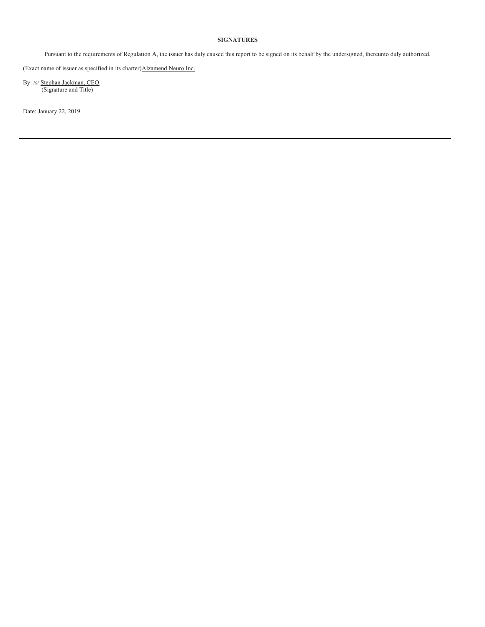### **SIGNATURES**

Pursuant to the requirements of Regulation A, the issuer has duly caused this report to be signed on its behalf by the undersigned, thereunto duly authorized.

(Exact name of issuer as specified in its charter)Alzamend Neuro Inc.

By: /s/ Stephan Jackman, CEO (Signature and Title)

Date: January 22, 2019